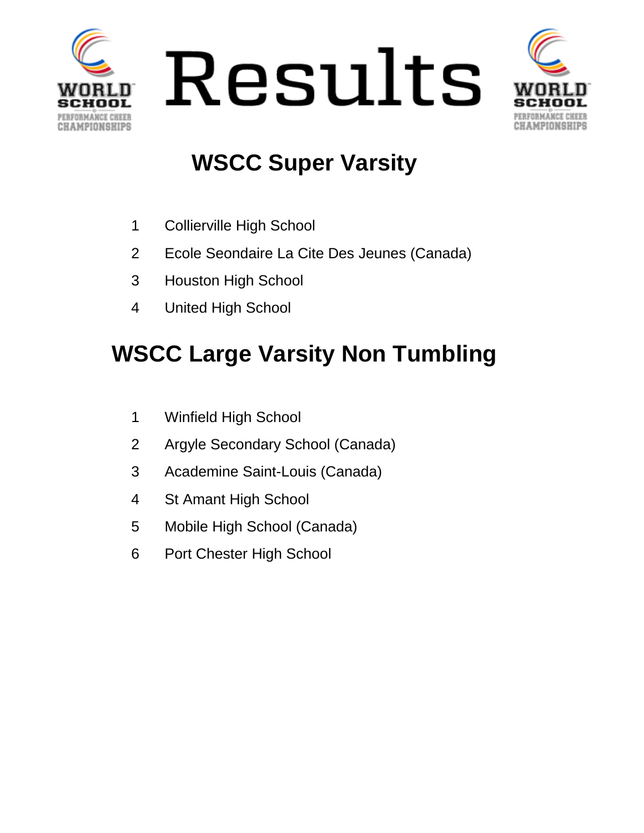





### **WSCC Super Varsity**

- Collierville High School
- Ecole Seondaire La Cite Des Jeunes (Canada)
- Houston High School
- United High School

## **WSCC Large Varsity Non Tumbling**

- Winfield High School
- Argyle Secondary School (Canada)
- Academine Saint-Louis (Canada)
- St Amant High School
- Mobile High School (Canada)
- Port Chester High School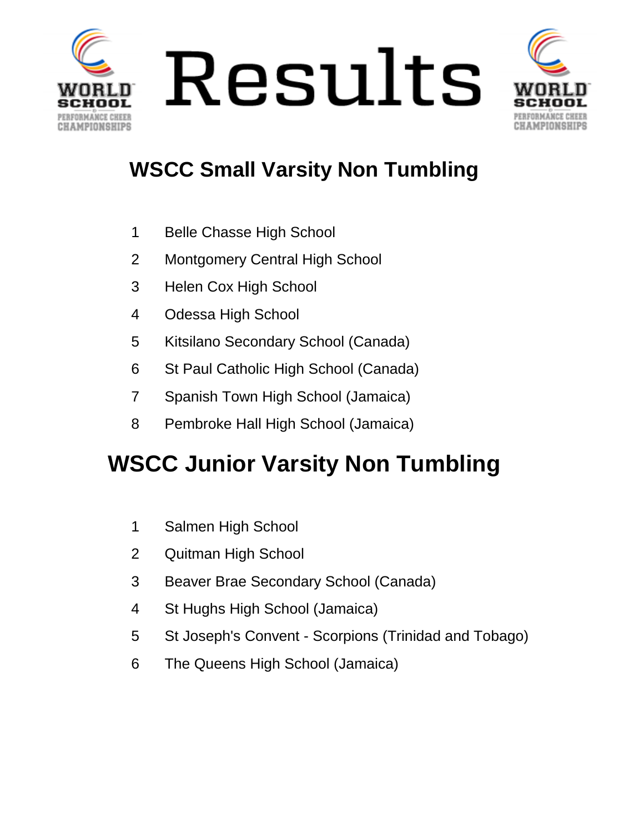



#### **WSCC Small Varsity Non Tumbling**

- Belle Chasse High School
- Montgomery Central High School
- Helen Cox High School
- Odessa High School
- Kitsilano Secondary School (Canada)
- St Paul Catholic High School (Canada)
- Spanish Town High School (Jamaica)
- Pembroke Hall High School (Jamaica)

## **WSCC Junior Varsity Non Tumbling**

- Salmen High School
- Quitman High School
- Beaver Brae Secondary School (Canada)
- St Hughs High School (Jamaica)
- St Joseph's Convent Scorpions (Trinidad and Tobago)
- The Queens High School (Jamaica)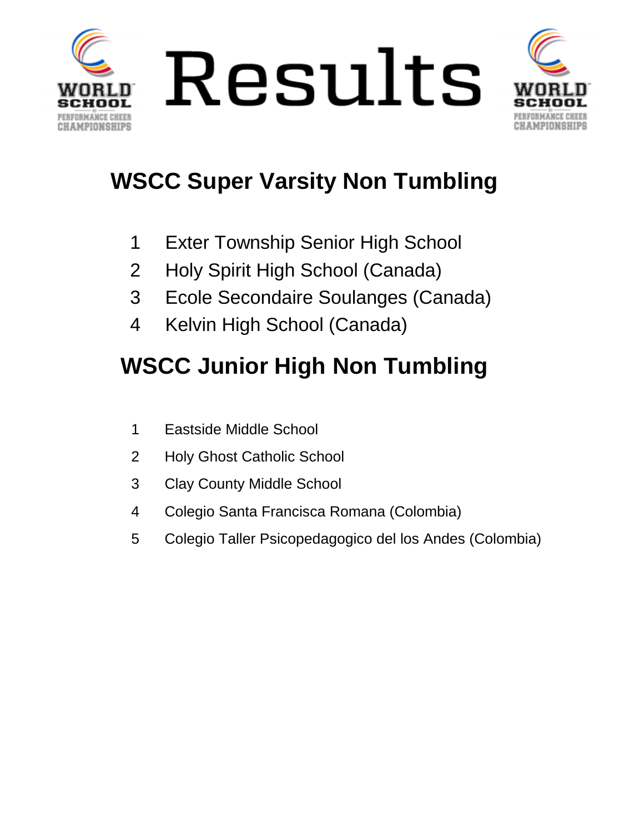



## **WSCC Super Varsity Non Tumbling**

- Exter Township Senior High School
- Holy Spirit High School (Canada)
- Ecole Secondaire Soulanges (Canada)
- Kelvin High School (Canada)

## **WSCC Junior High Non Tumbling**

- Eastside Middle School
- Holy Ghost Catholic School
- Clay County Middle School
- Colegio Santa Francisca Romana (Colombia)
- Colegio Taller Psicopedagogico del los Andes (Colombia)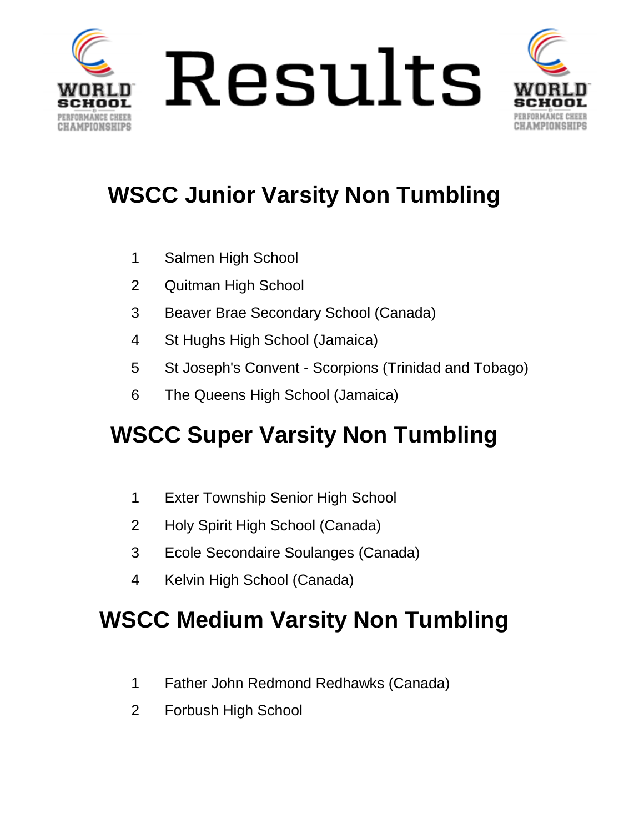



## **WSCC Junior Varsity Non Tumbling**

- Salmen High School
- Quitman High School
- Beaver Brae Secondary School (Canada)
- St Hughs High School (Jamaica)
- St Joseph's Convent Scorpions (Trinidad and Tobago)
- The Queens High School (Jamaica)

## **WSCC Super Varsity Non Tumbling**

- Exter Township Senior High School
- Holy Spirit High School (Canada)
- Ecole Secondaire Soulanges (Canada)
- Kelvin High School (Canada)

#### **WSCC Medium Varsity Non Tumbling**

- Father John Redmond Redhawks (Canada)
- Forbush High School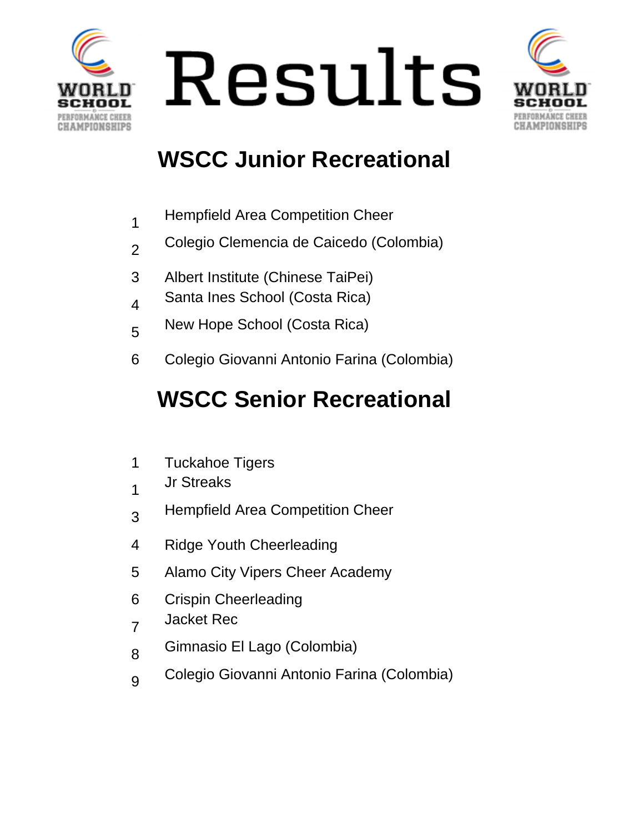





#### **WSCC Junior Recreational**

- 1 Hempfield Area Competition Cheer
- 2 Colegio Clemencia de Caicedo (Colombia)
- 3 Albert Institute (Chinese TaiPei)
- 4 Santa Ines School (Costa Rica)
- 5 New Hope School (Costa Rica)
- 6 Colegio Giovanni Antonio Farina (Colombia)

## **WSCC Senior Recreational**

- 1 Tuckahoe Tigers
- 1 Jr Streaks
- 3 Hempfield Area Competition Cheer
- 4 Ridge Youth Cheerleading
- 5 Alamo City Vipers Cheer Academy
- 6 Crispin Cheerleading
- 7 Jacket Rec
- 8 Gimnasio El Lago (Colombia)
- 9 Colegio Giovanni Antonio Farina (Colombia)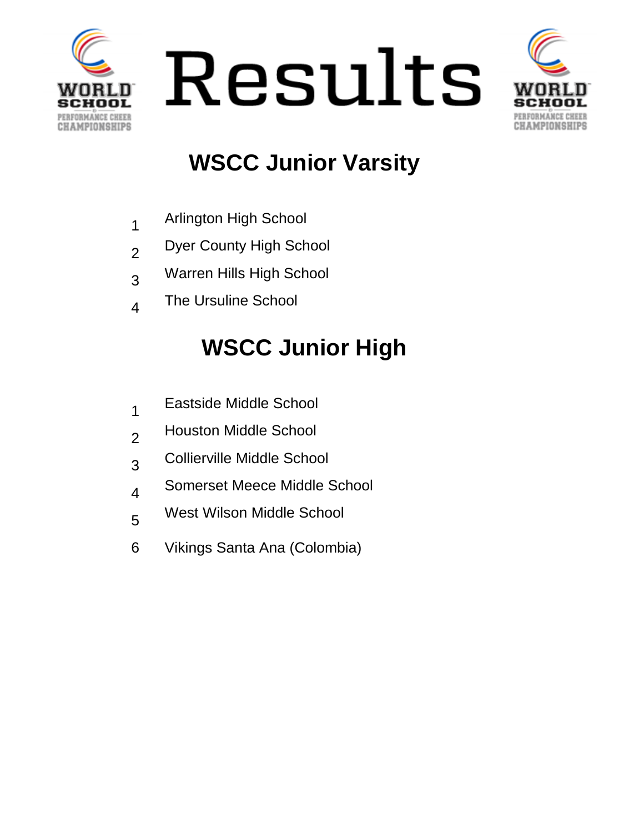





### **WSCC Junior Varsity**

- 1 Arlington High School
- 2 Dyer County High School
- 3 Warren Hills High School
- 4 The Ursuline School

# **WSCC Junior High**

- 1 Eastside Middle School
- 2 Houston Middle School
- 3 Collierville Middle School
- 4 Somerset Meece Middle School
- 5 West Wilson Middle School
- 6 Vikings Santa Ana (Colombia)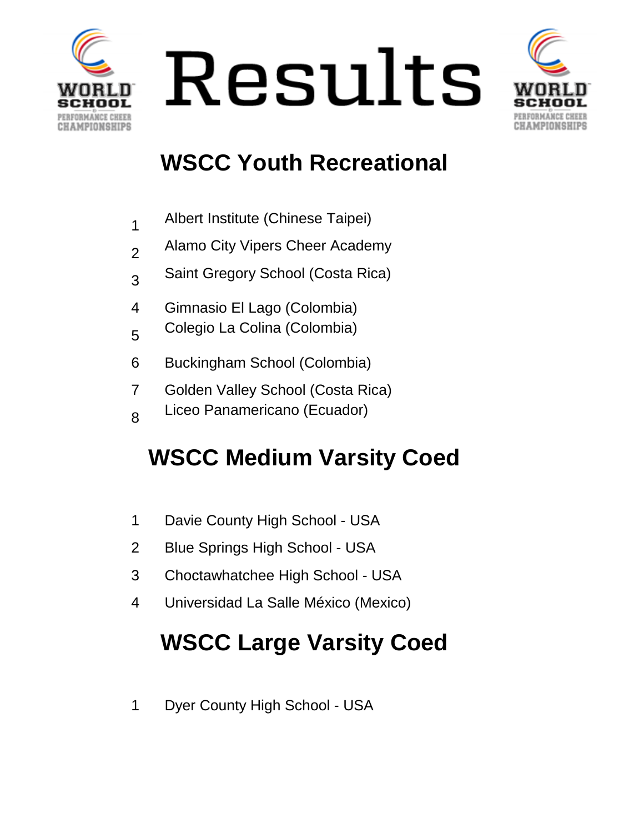





#### **WSCC Youth Recreational**

|  | Albert Institute (Chinese Taipei) |  |  |
|--|-----------------------------------|--|--|
|--|-----------------------------------|--|--|

- Alamo City Vipers Cheer Academy
- Saint Gregory School (Costa Rica)
- Gimnasio El Lago (Colombia)
- Colegio La Colina (Colombia)
- Buckingham School (Colombia)
- Golden Valley School (Costa Rica)
- Liceo Panamericano (Ecuador)

## **WSCC Medium Varsity Coed**

- Davie County High School USA
- Blue Springs High School USA
- Choctawhatchee High School USA
- Universidad La Salle México (Mexico)

# **WSCC Large Varsity Coed**

Dyer County High School - USA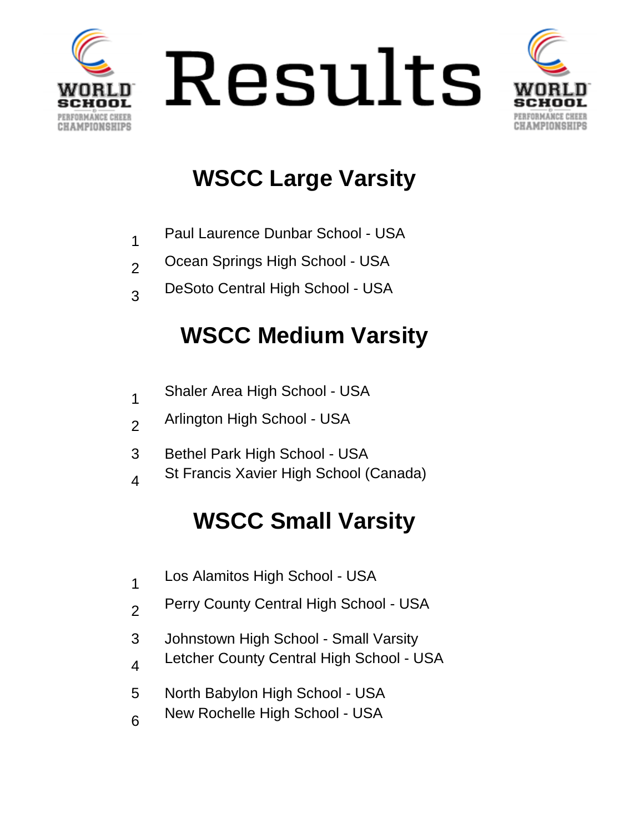





## **WSCC Large Varsity**

|  | Paul Laurence Dunbar School - USA |  |  |  |
|--|-----------------------------------|--|--|--|
|--|-----------------------------------|--|--|--|

- 2 Ocean Springs High School - USA
- 3 DeSoto Central High School - USA

#### **WSCC Medium Varsity**

- 1 Shaler Area High School - USA
- 2 Arlington High School - USA
- 3 Bethel Park High School USA
- 4 St Francis Xavier High School (Canada)

## **WSCC Small Varsity**

- 1 Los Alamitos High School - USA
- 2 Perry County Central High School - USA
- 3 Johnstown High School Small Varsity
- 4 Letcher County Central High School - USA
- 5 North Babylon High School USA
- 6 New Rochelle High School - USA